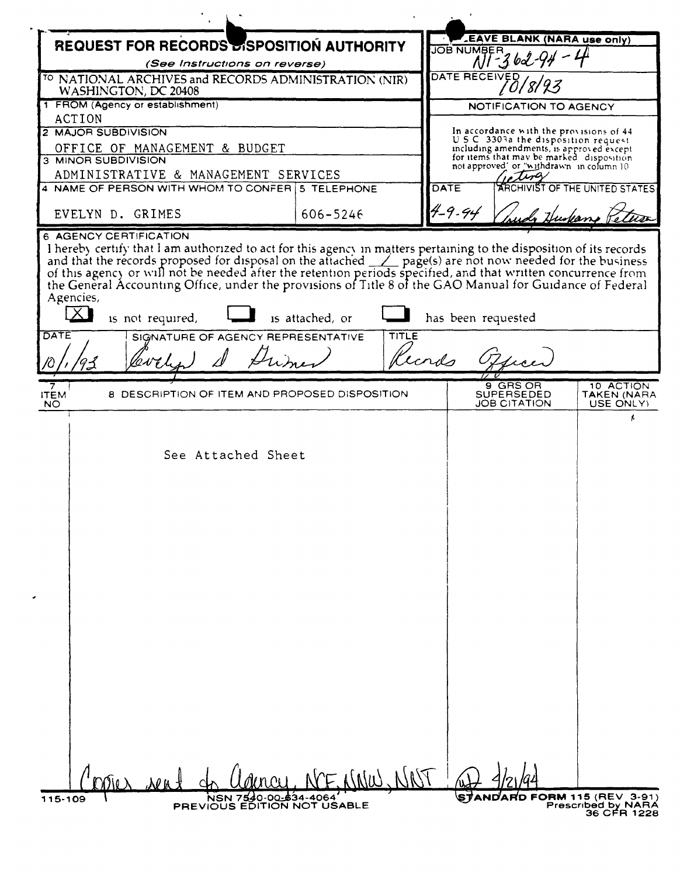| <b>REQUEST FOR RECORDS DISPOSITION AUTHORITY</b><br>(See Instructions on reverse)<br><sup>TO</sup> NATIONAL ARCHIVES and RECORDS ADMINISTRATION (NIR)<br>WASHINGTON, DC 20408<br>1 FROM (Agency or establishment)<br>ACTION<br>2 MAJOR SUBDIVISION                                                                                                                                                                                                                                             | <b>JOB NUMBER</b>      | <b>LEAVE BLANK (NARA use only)</b>                                                   |                                       |  |  |
|------------------------------------------------------------------------------------------------------------------------------------------------------------------------------------------------------------------------------------------------------------------------------------------------------------------------------------------------------------------------------------------------------------------------------------------------------------------------------------------------|------------------------|--------------------------------------------------------------------------------------|---------------------------------------|--|--|
|                                                                                                                                                                                                                                                                                                                                                                                                                                                                                                |                        |                                                                                      |                                       |  |  |
|                                                                                                                                                                                                                                                                                                                                                                                                                                                                                                |                        |                                                                                      | $N1 - 362 - 94$                       |  |  |
|                                                                                                                                                                                                                                                                                                                                                                                                                                                                                                |                        | DATE RECEIVED                                                                        |                                       |  |  |
|                                                                                                                                                                                                                                                                                                                                                                                                                                                                                                | NOTIFICATION TO AGENCY |                                                                                      |                                       |  |  |
|                                                                                                                                                                                                                                                                                                                                                                                                                                                                                                |                        |                                                                                      |                                       |  |  |
|                                                                                                                                                                                                                                                                                                                                                                                                                                                                                                |                        | In accordance with the provisions of 44<br>U.S.C. 3303a the disposition request      |                                       |  |  |
| OFFICE OF MANAGEMENT & BUDGET<br>3 MINOR SUBDIVISION                                                                                                                                                                                                                                                                                                                                                                                                                                           |                        | including amendments, is approved except<br>for items that may be marked disposition |                                       |  |  |
| ADMINISTRATIVE & MANAGEMENT SERVICES                                                                                                                                                                                                                                                                                                                                                                                                                                                           |                        | not approved' or "withdrawn in column 10                                             |                                       |  |  |
| 4 NAME OF PERSON WITH WHOM TO CONFER 15 TELEPHONE                                                                                                                                                                                                                                                                                                                                                                                                                                              | <b>DATE</b>            |                                                                                      |                                       |  |  |
| EVELYN D. GRIMES<br>606-5246                                                                                                                                                                                                                                                                                                                                                                                                                                                                   | 4-9-94                 |                                                                                      |                                       |  |  |
| I hereby certify that I am authorized to act for this agency in matters pertaining to the disposition of its records<br>and that the records proposed for disposal on the attached and that the records proposed for disposal on the attached after page(s) are not now needed for the business of this agency or will not be needed after the retenti<br>Agencies,<br>$\times$<br>is not required,<br>is attached, or<br><b>DATE</b><br>TITLE<br><b>REPRESENTATIVE</b><br>SIGNATURE OF AGENCY | has been requested     |                                                                                      |                                       |  |  |
| Cecnas                                                                                                                                                                                                                                                                                                                                                                                                                                                                                         |                        |                                                                                      |                                       |  |  |
| 7<br>8 DESCRIPTION OF ITEM AND PROPOSED DISPOSITION<br><b>ITEM</b><br>NO.                                                                                                                                                                                                                                                                                                                                                                                                                      |                        | 9 GRS OR<br>SUPERSEDED<br>JOB CITATION                                               | 10 ACTION<br>TAKEN (NARA<br>USE ONLY) |  |  |
| See Attached Sheet                                                                                                                                                                                                                                                                                                                                                                                                                                                                             |                        |                                                                                      |                                       |  |  |
|                                                                                                                                                                                                                                                                                                                                                                                                                                                                                                |                        |                                                                                      |                                       |  |  |